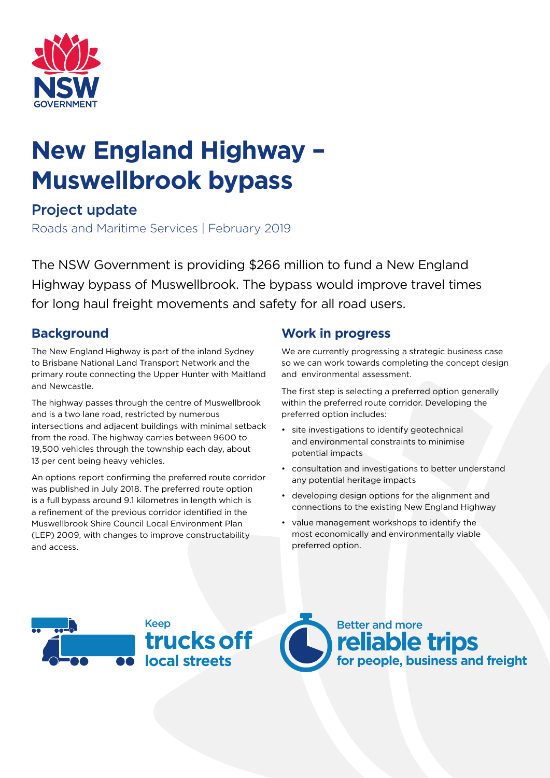

# **New England Highway – Muswellbrook bypass**

# Project update

Roads and Maritime Services | February 2019

The NSW Government is providing \$266 million to fund a New England Highway bypass of Muswellbrook. The bypass would improve travel times for long haul freight movements and safety for all road users.

# **Background**

The New England Highway is part of the inland Sydney to Brisbane National Land Transport Network and the primary route connecting the Upper Hunter with Maitland and Newcastle.

The highway passes through the centre of Muswellbrook and is a two lane road, restricted by numerous intersections and adjacent buildings with minimal setback from the road. The highway carries between 9600 to 19,500 vehicles through the township each day, about 13 per cent being heavy vehicles.

An options report confirming the preferred route corridor was published in July 2018. The preferred route option is a full bypass around 9.1 kilometres in length which is a refinement of the previous corridor identified in the Muswellbrook Shire Council Local Environment Plan (LEP) 2009, with changes to improve constructability and access.

# **Work in progress**

We are currently progressing a strategic business case so we can work towards completing the concept design and environmental assessment.

The first step is selecting a preferred option generally within the preferred route corridor. Developing the preferred option includes:

- site investigations to identify geotechnical and environmental constraints to minimise potential impacts
- consultation and investigations to better understand any potential heritage impacts
- developing design options for the alignment and connections to the existing New England Highway
- value management workshops to identify the most economically and environmentally viable preferred option.